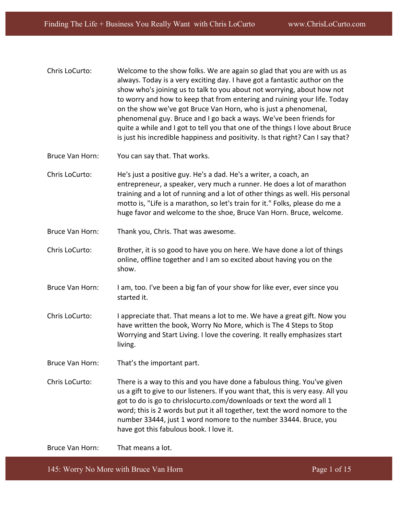- Chris LoCurto: Welcome to the show folks. We are again so glad that you are with us as always. Today is a very exciting day. I have got a fantastic author on the show who's joining us to talk to you about not worrying, about how not to worry and how to keep that from entering and ruining your life. Today on the show we've got Bruce Van Horn, who is just a phenomenal, phenomenal guy. Bruce and I go back a ways. We've been friends for quite a while and I got to tell you that one of the things I love about Bruce is just his incredible happiness and positivity. Is that right? Can I say that?
- Bruce Van Horn: You can say that. That works.
- Chris LoCurto: He's just a positive guy. He's a dad. He's a writer, a coach, an entrepreneur, a speaker, very much a runner. He does a lot of marathon training and a lot of running and a lot of other things as well. His personal motto is, "Life is a marathon, so let's train for it." Folks, please do me a huge favor and welcome to the shoe, Bruce Van Horn. Bruce, welcome.
- Bruce Van Horn: Thank you, Chris. That was awesome.
- Chris LoCurto: Brother, it is so good to have you on here. We have done a lot of things online, offline together and I am so excited about having you on the show.
- Bruce Van Horn: I am, too. I've been a big fan of your show for like ever, ever since you started it.
- Chris LoCurto: I appreciate that. That means a lot to me. We have a great gift. Now you have written the book, Worry No More, which is The 4 Steps to Stop Worrying and Start Living. I love the covering. It really emphasizes start living.
- Bruce Van Horn: That's the important part.
- Chris LoCurto: There is a way to this and you have done a fabulous thing. You've given us a gift to give to our listeners. If you want that, this is very easy. All you got to do is go to chrislocurto.com/downloads or text the word all 1 word; this is 2 words but put it all together, text the word nomore to the number 33444, just 1 word nomore to the number 33444. Bruce, you have got this fabulous book. I love it.

Bruce Van Horn: That means a lot.

145: Worry No More with Bruce Van Horn Page 1 of 15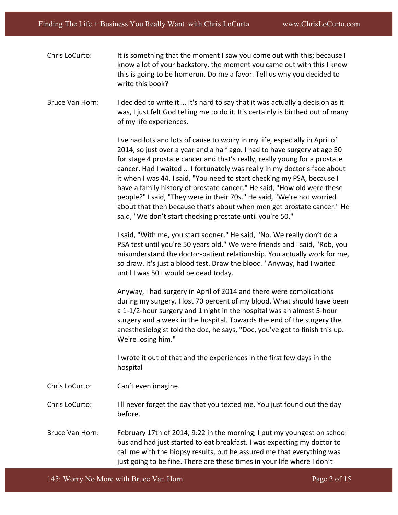- Chris LoCurto: It is something that the moment I saw you come out with this; because I know a lot of your backstory, the moment you came out with this I knew this is going to be homerun. Do me a favor. Tell us why you decided to write this book?
- Bruce Van Horn: I decided to write it ... It's hard to say that it was actually a decision as it was, I just felt God telling me to do it. It's certainly is birthed out of many of my life experiences.

I've had lots and lots of cause to worry in my life, especially in April of 2014, so just over a year and a half ago. I had to have surgery at age 50 for stage 4 prostate cancer and that's really, really young for a prostate cancer. Had I waited ... I fortunately was really in my doctor's face about it when I was 44. I said, "You need to start checking my PSA, because I have a family history of prostate cancer." He said, "How old were these people?" I said, "They were in their 70s." He said, "We're not worried about that then because that's about when men get prostate cancer." He said, "We don't start checking prostate until you're 50."

I said, "With me, you start sooner." He said, "No. We really don't do a PSA test until you're 50 years old." We were friends and I said, "Rob, you misunderstand the doctor-patient relationship. You actually work for me, so draw. It's just a blood test. Draw the blood." Anyway, had I waited until I was 50 I would be dead today.

Anyway, I had surgery in April of 2014 and there were complications during my surgery. I lost 70 percent of my blood. What should have been a 1-1/2-hour surgery and 1 night in the hospital was an almost 5-hour surgery and a week in the hospital. Towards the end of the surgery the anesthesiologist told the doc, he says, "Doc, you've got to finish this up. We're losing him."

I wrote it out of that and the experiences in the first few days in the hospital 

- Chris LoCurto: Can't even imagine.
- Chris LoCurto: I'll never forget the day that you texted me. You just found out the day before.
- Bruce Van Horn: February 17th of 2014, 9:22 in the morning, I put my youngest on school bus and had just started to eat breakfast. I was expecting my doctor to call me with the biopsy results, but he assured me that everything was just going to be fine. There are these times in your life where I don't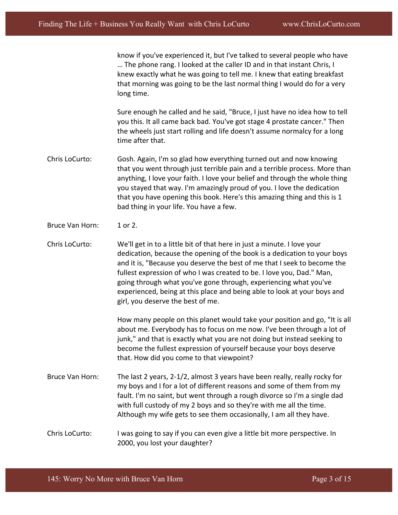know if you've experienced it, but I've talked to several people who have ... The phone rang. I looked at the caller ID and in that instant Chris, I knew exactly what he was going to tell me. I knew that eating breakfast that morning was going to be the last normal thing I would do for a very long time.

Sure enough he called and he said, "Bruce, I just have no idea how to tell you this. It all came back bad. You've got stage 4 prostate cancer." Then the wheels just start rolling and life doesn't assume normalcy for a long time after that.

- Chris LoCurto: Gosh. Again, I'm so glad how everything turned out and now knowing that you went through just terrible pain and a terrible process. More than anything, I love your faith. I love your belief and through the whole thing you stayed that way. I'm amazingly proud of you. I love the dedication that you have opening this book. Here's this amazing thing and this is 1 bad thing in your life. You have a few.
- Bruce Van Horn: 1 or 2.

Chris LoCurto: We'll get in to a little bit of that here in just a minute. I love your dedication, because the opening of the book is a dedication to your boys and it is, "Because you deserve the best of me that I seek to become the fullest expression of who I was created to be. I love you, Dad." Man, going through what you've gone through, experiencing what you've experienced, being at this place and being able to look at your boys and girl, you deserve the best of me.

> How many people on this planet would take your position and go, "It is all about me. Everybody has to focus on me now. I've been through a lot of junk," and that is exactly what you are not doing but instead seeking to become the fullest expression of yourself because your boys deserve that. How did you come to that viewpoint?

- Bruce Van Horn: The last 2 years, 2-1/2, almost 3 years have been really, really rocky for my boys and I for a lot of different reasons and some of them from my fault. I'm no saint, but went through a rough divorce so I'm a single dad with full custody of my 2 boys and so they're with me all the time. Although my wife gets to see them occasionally, I am all they have.
- Chris LoCurto: It was going to say if you can even give a little bit more perspective. In 2000, you lost your daughter?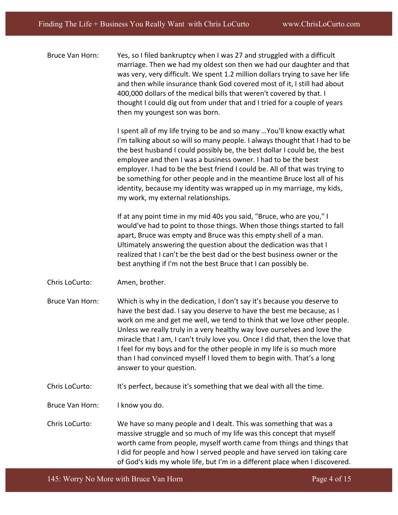Bruce Van Horn: Yes, so I filed bankruptcy when I was 27 and struggled with a difficult marriage. Then we had my oldest son then we had our daughter and that was very, very difficult. We spent 1.2 million dollars trying to save her life and then while insurance thank God covered most of it, I still had about 400,000 dollars of the medical bills that weren't covered by that. I thought I could dig out from under that and I tried for a couple of years then my youngest son was born.

> I spent all of my life trying to be and so many ...You'll know exactly what I'm talking about so will so many people. I always thought that I had to be the best husband I could possibly be, the best dollar I could be, the best employee and then I was a business owner. I had to be the best employer. I had to be the best friend I could be. All of that was trying to be something for other people and in the meantime Bruce lost all of his identity, because my identity was wrapped up in my marriage, my kids, my work, my external relationships.

If at any point time in my mid 40s you said, "Bruce, who are you," I would've had to point to those things. When those things started to fall apart, Bruce was empty and Bruce was this empty shell of a man. Ultimately answering the question about the dedication was that I realized that I can't be the best dad or the best business owner or the best anything if I'm not the best Bruce that I can possibly be.

- Chris LoCurto: Amen, brother.
- Bruce Van Horn: Which is why in the dedication, I don't say it's because you deserve to have the best dad. I say you deserve to have the best me because, as I work on me and get me well, we tend to think that we love other people. Unless we really truly in a very healthy way love ourselves and love the miracle that I am, I can't truly love you. Once I did that, then the love that I feel for my boys and for the other people in my life is so much more than I had convinced myself I loved them to begin with. That's a long answer to your question.
- Chris LoCurto: It's perfect, because it's something that we deal with all the time.
- Bruce Van Horn: I know you do.
- Chris LoCurto: We have so many people and I dealt. This was something that was a massive struggle and so much of my life was this concept that myself worth came from people, myself worth came from things and things that I did for people and how I served people and have served ion taking care of God's kids my whole life, but I'm in a different place when I discovered.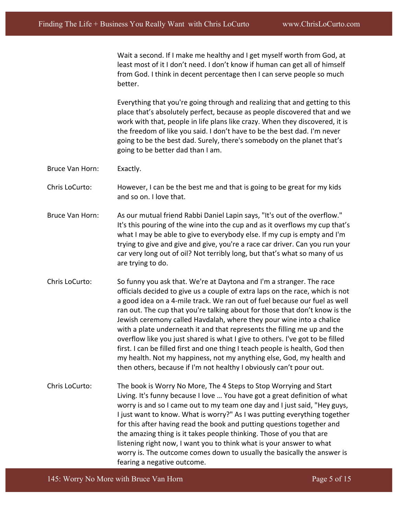Wait a second. If I make me healthy and I get myself worth from God, at least most of it I don't need. I don't know if human can get all of himself from God. I think in decent percentage then I can serve people so much better. 

Everything that you're going through and realizing that and getting to this place that's absolutely perfect, because as people discovered that and we work with that, people in life plans like crazy. When they discovered, it is the freedom of like you said. I don't have to be the best dad. I'm never going to be the best dad. Surely, there's somebody on the planet that's going to be better dad than I am.

Bruce Van Horn: Exactly.

Chris LoCurto: However, I can be the best me and that is going to be great for my kids and so on. I love that.

- Bruce Van Horn: As our mutual friend Rabbi Daniel Lapin says, "It's out of the overflow." It's this pouring of the wine into the cup and as it overflows my cup that's what I may be able to give to everybody else. If my cup is empty and I'm trying to give and give and give, you're a race car driver. Can you run your car very long out of oil? Not terribly long, but that's what so many of us are trying to do.
- Chris LoCurto: So funny you ask that. We're at Daytona and I'm a stranger. The race officials decided to give us a couple of extra laps on the race, which is not a good idea on a 4-mile track. We ran out of fuel because our fuel as well ran out. The cup that you're talking about for those that don't know is the Jewish ceremony called Havdalah, where they pour wine into a chalice with a plate underneath it and that represents the filling me up and the overflow like you just shared is what I give to others. I've got to be filled first. I can be filled first and one thing I teach people is health, God then my health. Not my happiness, not my anything else, God, my health and then others, because if I'm not healthy I obviously can't pour out.
- Chris LoCurto: The book is Worry No More, The 4 Steps to Stop Worrying and Start Living. It's funny because I love ... You have got a great definition of what worry is and so I came out to my team one day and I just said, "Hey guys, I just want to know. What is worry?" As I was putting everything together for this after having read the book and putting questions together and the amazing thing is it takes people thinking. Those of you that are listening right now, I want you to think what is your answer to what worry is. The outcome comes down to usually the basically the answer is fearing a negative outcome.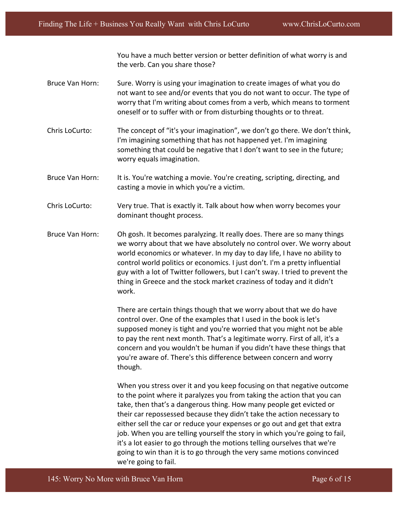You have a much better version or better definition of what worry is and the verb. Can you share those?

- Bruce Van Horn: Sure. Worry is using your imagination to create images of what you do not want to see and/or events that you do not want to occur. The type of worry that I'm writing about comes from a verb, which means to torment oneself or to suffer with or from disturbing thoughts or to threat.
- Chris LoCurto: The concept of "it's your imagination", we don't go there. We don't think, I'm imagining something that has not happened yet. I'm imagining something that could be negative that I don't want to see in the future; worry equals imagination.
- Bruce Van Horn: It is. You're watching a movie. You're creating, scripting, directing, and casting a movie in which you're a victim.
- Chris LoCurto: Wery true. That is exactly it. Talk about how when worry becomes your dominant thought process.
- Bruce Van Horn: Oh gosh. It becomes paralyzing. It really does. There are so many things we worry about that we have absolutely no control over. We worry about world economics or whatever. In my day to day life, I have no ability to control world politics or economics. I just don't. I'm a pretty influential guy with a lot of Twitter followers, but I can't sway. I tried to prevent the thing in Greece and the stock market craziness of today and it didn't work.

There are certain things though that we worry about that we do have control over. One of the examples that I used in the book is let's supposed money is tight and you're worried that you might not be able to pay the rent next month. That's a legitimate worry. First of all, it's a concern and you wouldn't be human if you didn't have these things that you're aware of. There's this difference between concern and worry though. 

When you stress over it and you keep focusing on that negative outcome to the point where it paralyzes you from taking the action that you can take, then that's a dangerous thing. How many people get evicted or their car repossessed because they didn't take the action necessary to either sell the car or reduce your expenses or go out and get that extra job. When you are telling yourself the story in which you're going to fail, it's a lot easier to go through the motions telling ourselves that we're going to win than it is to go through the very same motions convinced we're going to fail.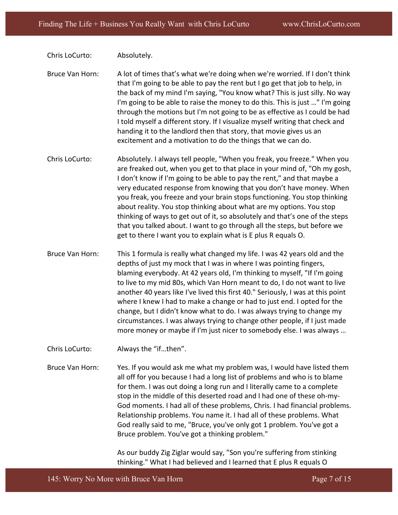Chris LoCurto: Absolutely.

Bruce Van Horn: A lot of times that's what we're doing when we're worried. If I don't think that I'm going to be able to pay the rent but I go get that job to help, in the back of my mind I'm saying, "You know what? This is just silly. No way I'm going to be able to raise the money to do this. This is just ..." I'm going through the motions but I'm not going to be as effective as I could be had I told myself a different story. If I visualize myself writing that check and handing it to the landlord then that story, that movie gives us an excitement and a motivation to do the things that we can do.

- Chris LoCurto: Absolutely. I always tell people, "When you freak, you freeze." When you are freaked out, when you get to that place in your mind of, "Oh my gosh, I don't know if I'm going to be able to pay the rent," and that maybe a very educated response from knowing that you don't have money. When you freak, you freeze and your brain stops functioning. You stop thinking about reality. You stop thinking about what are my options. You stop thinking of ways to get out of it, so absolutely and that's one of the steps that you talked about. I want to go through all the steps, but before we get to there I want you to explain what is E plus R equals O.
- Bruce Van Horn: This 1 formula is really what changed my life. I was 42 years old and the depths of just my mock that I was in where I was pointing fingers, blaming everybody. At 42 years old, I'm thinking to myself, "If I'm going to live to my mid 80s, which Van Horn meant to do, I do not want to live another 40 years like I've lived this first 40." Seriously, I was at this point where I knew I had to make a change or had to just end. I opted for the change, but I didn't know what to do. I was always trying to change my circumstances. I was always trying to change other people, if I just made more money or maybe if I'm just nicer to somebody else. I was always ...
- Chris LoCurto: Always the "if...then".
- Bruce Van Horn: Yes. If you would ask me what my problem was, I would have listed them all off for you because I had a long list of problems and who is to blame for them. I was out doing a long run and I literally came to a complete stop in the middle of this deserted road and I had one of these oh-my-God moments. I had all of these problems, Chris. I had financial problems. Relationship problems. You name it. I had all of these problems. What God really said to me, "Bruce, you've only got 1 problem. You've got a Bruce problem. You've got a thinking problem."

As our buddy Zig Ziglar would say, "Son you're suffering from stinking thinking." What I had believed and I learned that E plus R equals O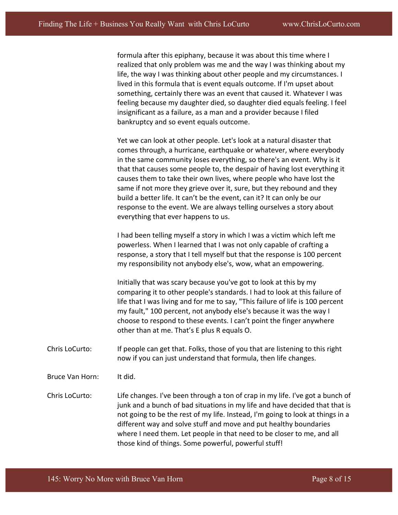formula after this epiphany, because it was about this time where I realized that only problem was me and the way I was thinking about my life, the way I was thinking about other people and my circumstances. I lived in this formula that is event equals outcome. If I'm upset about something, certainly there was an event that caused it. Whatever I was feeling because my daughter died, so daughter died equals feeling. I feel insignificant as a failure, as a man and a provider because I filed bankruptcy and so event equals outcome.

Yet we can look at other people. Let's look at a natural disaster that comes through, a hurricane, earthquake or whatever, where everybody in the same community loses everything, so there's an event. Why is it that that causes some people to, the despair of having lost everything it causes them to take their own lives, where people who have lost the same if not more they grieve over it, sure, but they rebound and they build a better life. It can't be the event, can it? It can only be our response to the event. We are always telling ourselves a story about everything that ever happens to us.

I had been telling myself a story in which I was a victim which left me powerless. When I learned that I was not only capable of crafting a response, a story that I tell myself but that the response is 100 percent my responsibility not anybody else's, wow, what an empowering.

Initially that was scary because you've got to look at this by my comparing it to other people's standards. I had to look at this failure of life that I was living and for me to say, "This failure of life is 100 percent my fault," 100 percent, not anybody else's because it was the way I choose to respond to these events. I can't point the finger anywhere other than at me. That's E plus R equals O.

- Chris LoCurto: If people can get that. Folks, those of you that are listening to this right now if you can just understand that formula, then life changes.
- Bruce Van Horn: It did.

Chris LoCurto: Life changes. I've been through a ton of crap in my life. I've got a bunch of junk and a bunch of bad situations in my life and have decided that that is not going to be the rest of my life. Instead, I'm going to look at things in a different way and solve stuff and move and put healthy boundaries where I need them. Let people in that need to be closer to me, and all those kind of things. Some powerful, powerful stuff!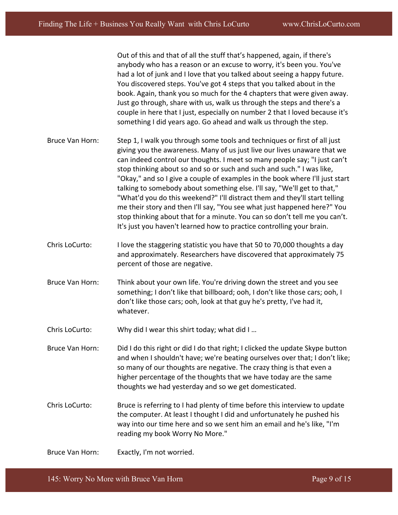Out of this and that of all the stuff that's happened, again, if there's anybody who has a reason or an excuse to worry, it's been you. You've had a lot of junk and I love that you talked about seeing a happy future. You discovered steps. You've got 4 steps that you talked about in the book. Again, thank you so much for the 4 chapters that were given away. Just go through, share with us, walk us through the steps and there's a couple in here that I just, especially on number 2 that I loved because it's something I did years ago. Go ahead and walk us through the step.

- Bruce Van Horn: Step 1, I walk you through some tools and techniques or first of all just giving you the awareness. Many of us just live our lives unaware that we can indeed control our thoughts. I meet so many people say; "I just can't stop thinking about so and so or such and such and such." I was like, "Okay," and so I give a couple of examples in the book where I'll just start talking to somebody about something else. I'll say, "We'll get to that," "What'd you do this weekend?" I'll distract them and they'll start telling me their story and then I'll say, "You see what just happened here?" You stop thinking about that for a minute. You can so don't tell me you can't. It's just you haven't learned how to practice controlling your brain.
- Chris LoCurto: I love the staggering statistic you have that 50 to 70,000 thoughts a day and approximately. Researchers have discovered that approximately 75 percent of those are negative.
- Bruce Van Horn: Think about your own life. You're driving down the street and you see something; I don't like that billboard; ooh, I don't like those cars; ooh, I don't like those cars; ooh, look at that guy he's pretty, I've had it, whatever.
- Chris LoCurto: Why did I wear this shirt today; what did I ...
- Bruce Van Horn: Did I do this right or did I do that right; I clicked the update Skype button and when I shouldn't have; we're beating ourselves over that; I don't like; so many of our thoughts are negative. The crazy thing is that even a higher percentage of the thoughts that we have today are the same thoughts we had yesterday and so we get domesticated.
- Chris LoCurto: Bruce is referring to I had plenty of time before this interview to update the computer. At least I thought I did and unfortunately he pushed his way into our time here and so we sent him an email and he's like, "I'm reading my book Worry No More."

Bruce Van Horn: Exactly, I'm not worried.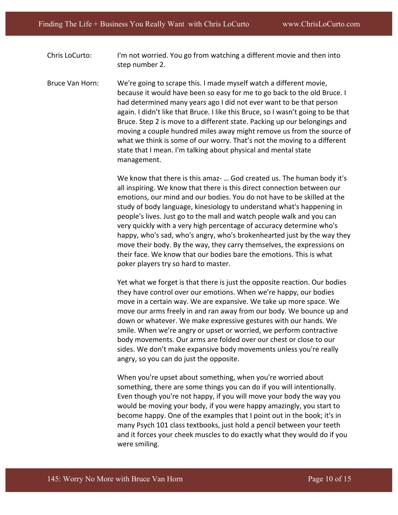Chris LoCurto: I'm not worried. You go from watching a different movie and then into step number 2.

Bruce Van Horn: We're going to scrape this. I made myself watch a different movie, because it would have been so easy for me to go back to the old Bruce. I had determined many years ago I did not ever want to be that person again. I didn't like that Bruce. I like this Bruce, so I wasn't going to be that Bruce. Step 2 is move to a different state. Packing up our belongings and moving a couple hundred miles away might remove us from the source of what we think is some of our worry. That's not the moving to a different state that I mean. I'm talking about physical and mental state management. 

> We know that there is this amaz- ... God created us. The human body it's all inspiring. We know that there is this direct connection between our emotions, our mind and our bodies. You do not have to be skilled at the study of body language, kinesiology to understand what's happening in people's lives. Just go to the mall and watch people walk and you can very quickly with a very high percentage of accuracy determine who's happy, who's sad, who's angry, who's brokenhearted just by the way they move their body. By the way, they carry themselves, the expressions on their face. We know that our bodies bare the emotions. This is what poker players try so hard to master.

Yet what we forget is that there is just the opposite reaction. Our bodies they have control over our emotions. When we're happy, our bodies move in a certain way. We are expansive. We take up more space. We move our arms freely in and ran away from our body. We bounce up and down or whatever. We make expressive gestures with our hands. We smile. When we're angry or upset or worried, we perform contractive body movements. Our arms are folded over our chest or close to our sides. We don't make expansive body movements unless you're really angry, so you can do just the opposite.

When you're upset about something, when you're worried about something, there are some things you can do if you will intentionally. Even though you're not happy, if you will move your body the way you would be moving your body, if you were happy amazingly, you start to become happy. One of the examples that I point out in the book; it's in many Psych 101 class textbooks, just hold a pencil between your teeth and it forces your cheek muscles to do exactly what they would do if you were smiling.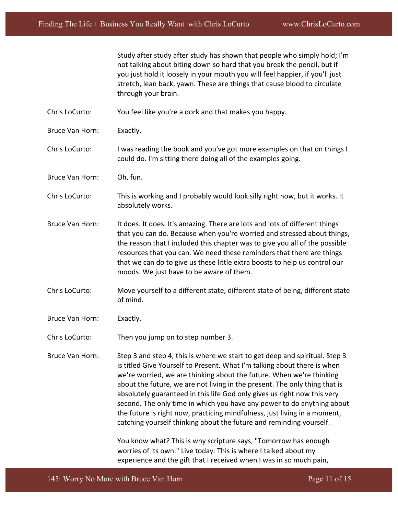Study after study after study has shown that people who simply hold; I'm not talking about biting down so hard that you break the pencil, but if you just hold it loosely in your mouth you will feel happier, if you'll just stretch, lean back, yawn. These are things that cause blood to circulate through your brain.

Chris LoCurto: You feel like you're a dork and that makes you happy.

Bruce Van Horn: Exactly.

Chris LoCurto: I was reading the book and you've got more examples on that on things I could do. I'm sitting there doing all of the examples going.

- Bruce Van Horn: Oh, fun.
- Chris LoCurto: This is working and I probably would look silly right now, but it works. It absolutely works.
- Bruce Van Horn: It does. It does. It's amazing. There are lots and lots of different things that you can do. Because when you're worried and stressed about things, the reason that I included this chapter was to give you all of the possible resources that you can. We need these reminders that there are things that we can do to give us these little extra boosts to help us control our moods. We just have to be aware of them.
- Chris LoCurto: Move yourself to a different state, different state of being, different state of mind.
- Bruce Van Horn: Exactly.

Chris LoCurto: Then you jump on to step number 3.

Bruce Van Horn: Step 3 and step 4, this is where we start to get deep and spiritual. Step 3 is titled Give Yourself to Present. What I'm talking about there is when we're worried, we are thinking about the future. When we're thinking about the future, we are not living in the present. The only thing that is absolutely guaranteed in this life God only gives us right now this very second. The only time in which you have any power to do anything about the future is right now, practicing mindfulness, just living in a moment, catching yourself thinking about the future and reminding yourself.

> You know what? This is why scripture says, "Tomorrow has enough worries of its own." Live today. This is where I talked about my experience and the gift that I received when I was in so much pain,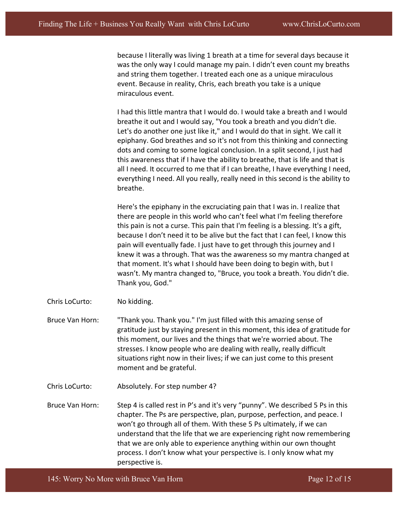because I literally was living 1 breath at a time for several days because it was the only way I could manage my pain. I didn't even count my breaths and string them together. I treated each one as a unique miraculous event. Because in reality, Chris, each breath you take is a unique miraculous event.

I had this little mantra that I would do. I would take a breath and I would breathe it out and I would say, "You took a breath and you didn't die. Let's do another one just like it," and I would do that in sight. We call it epiphany. God breathes and so it's not from this thinking and connecting dots and coming to some logical conclusion. In a split second, I just had this awareness that if I have the ability to breathe, that is life and that is all I need. It occurred to me that if I can breathe, I have everything I need, everything I need. All you really, really need in this second is the ability to breathe. 

Here's the epiphany in the excruciating pain that I was in. I realize that there are people in this world who can't feel what I'm feeling therefore this pain is not a curse. This pain that I'm feeling is a blessing. It's a gift, because I don't need it to be alive but the fact that I can feel, I know this pain will eventually fade. I just have to get through this journey and I knew it was a through. That was the awareness so my mantra changed at that moment. It's what I should have been doing to begin with, but I wasn't. My mantra changed to, "Bruce, you took a breath. You didn't die. Thank you, God."

Chris LoCurto: No kidding.

Bruce Van Horn: Thank you. Thank you." I'm just filled with this amazing sense of gratitude just by staying present in this moment, this idea of gratitude for this moment, our lives and the things that we're worried about. The stresses. I know people who are dealing with really, really difficult situations right now in their lives; if we can just come to this present moment and be grateful.

Chris LoCurto: Absolutely. For step number 4?

Bruce Van Horn: Step 4 is called rest in P's and it's very "punny". We described 5 Ps in this chapter. The Ps are perspective, plan, purpose, perfection, and peace. I won't go through all of them. With these 5 Ps ultimately, if we can understand that the life that we are experiencing right now remembering that we are only able to experience anything within our own thought process. I don't know what your perspective is. I only know what my perspective is.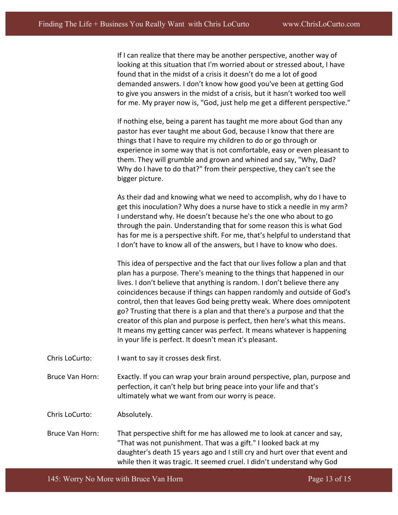If I can realize that there may be another perspective, another way of looking at this situation that I'm worried about or stressed about, I have found that in the midst of a crisis it doesn't do me a lot of good demanded answers. I don't know how good you've been at getting God to give you answers in the midst of a crisis, but it hasn't worked too well for me. My prayer now is, "God, just help me get a different perspective."

If nothing else, being a parent has taught me more about God than any pastor has ever taught me about God, because I know that there are things that I have to require my children to do or go through or experience in some way that is not comfortable, easy or even pleasant to them. They will grumble and grown and whined and say, "Why, Dad? Why do I have to do that?" from their perspective, they can't see the bigger picture.

As their dad and knowing what we need to accomplish, why do I have to get this inoculation? Why does a nurse have to stick a needle in my arm? I understand why. He doesn't because he's the one who about to go through the pain. Understanding that for some reason this is what God has for me is a perspective shift. For me, that's helpful to understand that I don't have to know all of the answers, but I have to know who does.

This idea of perspective and the fact that our lives follow a plan and that plan has a purpose. There's meaning to the things that happened in our lives. I don't believe that anything is random. I don't believe there any coincidences because if things can happen randomly and outside of God's control, then that leaves God being pretty weak. Where does omnipotent go? Trusting that there is a plan and that there's a purpose and that the creator of this plan and purpose is perfect, then here's what this means. It means my getting cancer was perfect. It means whatever is happening in your life is perfect. It doesn't mean it's pleasant.

Chris LoCurto: I want to say it crosses desk first.

Bruce Van Horn: Exactly. If you can wrap your brain around perspective, plan, purpose and perfection, it can't help but bring peace into your life and that's ultimately what we want from our worry is peace.

Chris LoCurto: Absolutely.

Bruce Van Horn: That perspective shift for me has allowed me to look at cancer and say, "That was not punishment. That was a gift." I looked back at my daughter's death 15 years ago and I still cry and hurt over that event and while then it was tragic. It seemed cruel. I didn't understand why God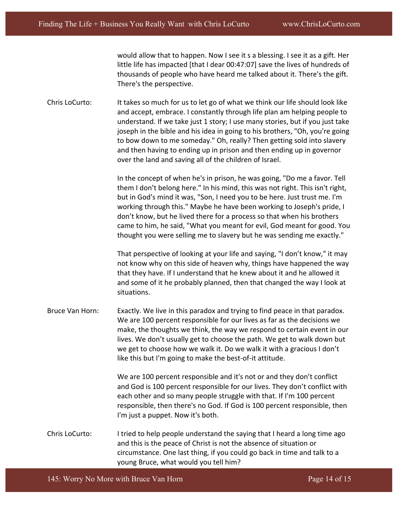would allow that to happen. Now I see it s a blessing. I see it as a gift. Her little life has impacted [that I dear 00:47:07] save the lives of hundreds of thousands of people who have heard me talked about it. There's the gift. There's the perspective.

Chris LoCurto: It takes so much for us to let go of what we think our life should look like and accept, embrace. I constantly through life plan am helping people to understand. If we take just 1 story; I use many stories, but if you just take joseph in the bible and his idea in going to his brothers, "Oh, you're going to bow down to me someday." Oh, really? Then getting sold into slavery and then having to ending up in prison and then ending up in governor over the land and saving all of the children of Israel.

> In the concept of when he's in prison, he was going, "Do me a favor. Tell them I don't belong here." In his mind, this was not right. This isn't right, but in God's mind it was, "Son, I need you to be here. Just trust me. I'm working through this." Maybe he have been working to Joseph's pride, I don't know, but he lived there for a process so that when his brothers came to him, he said, "What you meant for evil, God meant for good. You thought you were selling me to slavery but he was sending me exactly."

> That perspective of looking at your life and saying, "I don't know," it may not know why on this side of heaven why, things have happened the way that they have. If I understand that he knew about it and he allowed it and some of it he probably planned, then that changed the way I look at situations.

Bruce Van Horn: Exactly. We live in this paradox and trying to find peace in that paradox. We are 100 percent responsible for our lives as far as the decisions we make, the thoughts we think, the way we respond to certain event in our lives. We don't usually get to choose the path. We get to walk down but we get to choose how we walk it. Do we walk it with a gracious I don't like this but I'm going to make the best-of-it attitude.

> We are 100 percent responsible and it's not or and they don't conflict and God is 100 percent responsible for our lives. They don't conflict with each other and so many people struggle with that. If I'm 100 percent responsible, then there's no God. If God is 100 percent responsible, then I'm just a puppet. Now it's both.

Chris LoCurto: Itried to help people understand the saying that I heard a long time ago and this is the peace of Christ is not the absence of situation or circumstance. One last thing, if you could go back in time and talk to a young Bruce, what would you tell him?